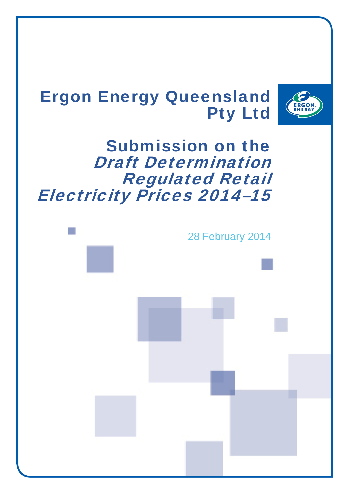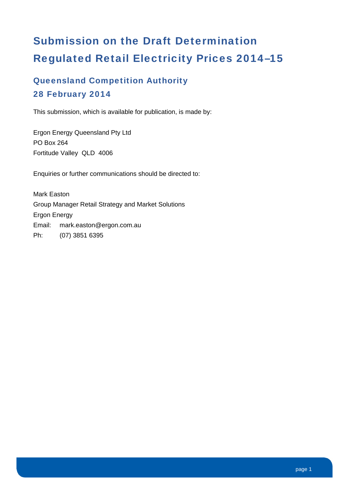# Submission on the Draft Determination Regulated Retail Electricity Prices 2014–15

### Queensland Competition Authority 28 February 2014

This submission, which is available for publication, is made by:

Ergon Energy Queensland Pty Ltd PO Box 264 Fortitude Valley QLD 4006

Enquiries or further communications should be directed to:

Mark Easton Group Manager Retail Strategy and Market Solutions Ergon Energy Email: mark.easton@ergon.com.au Ph: (07) 3851 6395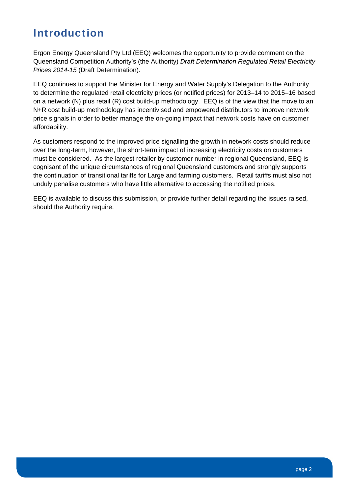### Introduction

Ergon Energy Queensland Pty Ltd (EEQ) welcomes the opportunity to provide comment on the Queensland Competition Authority's (the Authority) *Draft Determination Regulated Retail Electricity Prices 2014-15* (Draft Determination).

EEQ continues to support the Minister for Energy and Water Supply's Delegation to the Authority to determine the regulated retail electricity prices (or notified prices) for 2013–14 to 2015–16 based on a network (N) plus retail (R) cost build-up methodology. EEQ is of the view that the move to an N+R cost build-up methodology has incentivised and empowered distributors to improve network price signals in order to better manage the on-going impact that network costs have on customer affordability.

As customers respond to the improved price signalling the growth in network costs should reduce over the long-term, however, the short-term impact of increasing electricity costs on customers must be considered. As the largest retailer by customer number in regional Queensland, EEQ is cognisant of the unique circumstances of regional Queensland customers and strongly supports the continuation of transitional tariffs for Large and farming customers. Retail tariffs must also not unduly penalise customers who have little alternative to accessing the notified prices.

EEQ is available to discuss this submission, or provide further detail regarding the issues raised, should the Authority require.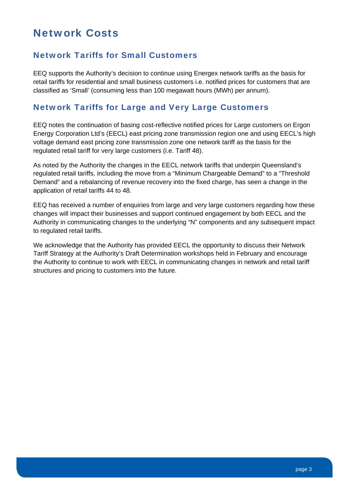### Network Costs

#### Network Tariffs for Small Customers

EEQ supports the Authority's decision to continue using Energex network tariffs as the basis for retail tariffs for residential and small business customers i.e. notified prices for customers that are classified as 'Small' (consuming less than 100 megawatt hours (MWh) per annum).

#### Network Tariffs for Large and Very Large Customers

EEQ notes the continuation of basing cost-reflective notified prices for Large customers on Ergon Energy Corporation Ltd's (EECL) east pricing zone transmission region one and using EECL's high voltage demand east pricing zone transmission zone one network tariff as the basis for the regulated retail tariff for very large customers (i.e. Tariff 48).

As noted by the Authority the changes in the EECL network tariffs that underpin Queensland's regulated retail tariffs, including the move from a "Minimum Chargeable Demand" to a "Threshold Demand" and a rebalancing of revenue recovery into the fixed charge, has seen a change in the application of retail tariffs 44 to 48.

EEQ has received a number of enquiries from large and very large customers regarding how these changes will impact their businesses and support continued engagement by both EECL and the Authority in communicating changes to the underlying "N" components and any subsequent impact to regulated retail tariffs.

We acknowledge that the Authority has provided EECL the opportunity to discuss their Network Tariff Strategy at the Authority's Draft Determination workshops held in February and encourage the Authority to continue to work with EECL in communicating changes in network and retail tariff structures and pricing to customers into the future.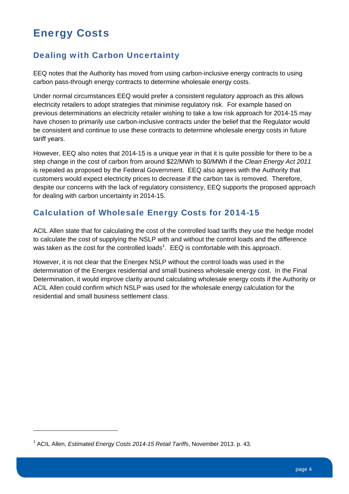### Energy Costs

#### Dealing with Carbon Uncertainty

EEQ notes that the Authority has moved from using carbon-inclusive energy contracts to using carbon pass-through energy contracts to determine wholesale energy costs.

Under normal circumstances EEQ would prefer a consistent regulatory approach as this allows electricity retailers to adopt strategies that minimise regulatory risk. For example based on previous determinations an electricity retailer wishing to take a low risk approach for 2014-15 may have chosen to primarily use carbon-inclusive contracts under the belief that the Regulator would be consistent and continue to use these contracts to determine wholesale energy costs in future tariff years.

However, EEQ also notes that 2014-15 is a unique year in that it is quite possible for there to be a step change in the cost of carbon from around \$22/MWh to \$0/MWh if the *Clean Energy Act 2011* is repealed as proposed by the Federal Government. EEQ also agrees with the Authority that customers would expect electricity prices to decrease if the carbon tax is removed. Therefore, despite our concerns with the lack of regulatory consistency, EEQ supports the proposed approach for dealing with carbon uncertainty in 2014-15.

#### Calculation of Wholesale Energy Costs for 2014-15

ACIL Allen state that for calculating the cost of the controlled load tariffs they use the hedge model to calculate the cost of supplying the NSLP with and without the control loads and the difference was taken as the cost for the controlled loads<sup>1</sup>.  $E$ EQ is comfortable with this approach.

However, it is not clear that the Energex NSLP without the control loads was used in the determination of the Energex residential and small business wholesale energy cost. In the Final Determination, it would improve clarity around calculating wholesale energy costs if the Authority or ACIL Allen could confirm which NSLP was used for the wholesale energy calculation for the residential and small business settlement class.

<sup>1</sup> ACIL Allen, *Estimated Energy Costs 2014-15 Retail Tariffs*, November 2013. p. 43.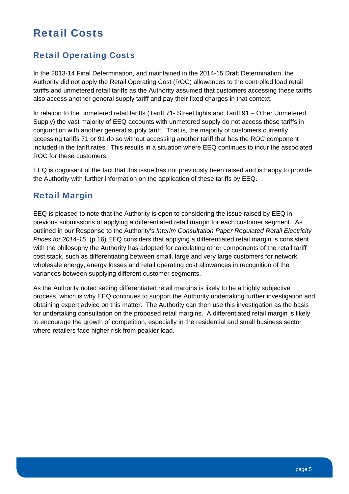### Retail Costs

#### Retail Operating Costs

In the 2013-14 Final Determination, and maintained in the 2014-15 Draft Determination, the Authority did not apply the Retail Operating Cost (ROC) allowances to the controlled load retail tariffs and unmetered retail tariffs as the Authority assumed that customers accessing these tariffs also access another general supply tariff and pay their fixed charges in that context.

In relation to the unmetered retail tariffs (Tariff 71- Street lights and Tariff 91 – Other Unmetered Supply) the vast majority of EEQ accounts with unmetered supply do not access these tariffs in conjunction with another general supply tariff. That is, the majority of customers currently accessing tariffs 71 or 91 do so without accessing another tariff that has the ROC component included in the tariff rates. This results in a situation where EEQ continues to incur the associated ROC for these customers.

EEQ is cognisant of the fact that this issue has not previously been raised and is happy to provide the Authority with further information on the application of these tariffs by EEQ.

#### Retail Margin

EEQ is pleased to note that the Authority is open to considering the issue raised by EEQ in previous submissions of applying a differentiated retail margin for each customer segment. As outlined in our Response to the Authority's *Interim Consultation Paper Regulated Retail Electricity Prices for 2014*‐*15* (p 16) EEQ considers that applying a differentiated retail margin is consistent with the philosophy the Authority has adopted for calculating other components of the retail tariff cost stack, such as differentiating between small, large and very large customers for network, wholesale energy, energy losses and retail operating cost allowances in recognition of the variances between supplying different customer segments.

As the Authority noted setting differentiated retail margins is likely to be a highly subjective process, which is why EEQ continues to support the Authority undertaking further investigation and obtaining expert advice on this matter. The Authority can then use this investigation as the basis for undertaking consultation on the proposed retail margins. A differentiated retail margin is likely to encourage the growth of competition, especially in the residential and small business sector where retailers face higher risk from peakier load.